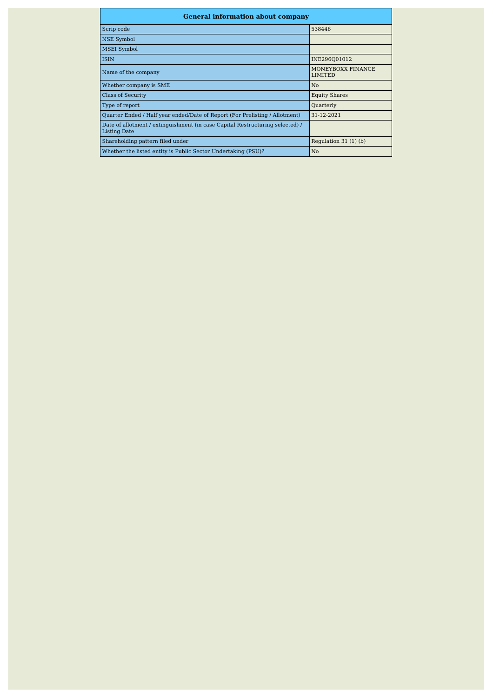| <b>General information about company</b>                                                      |                                     |
|-----------------------------------------------------------------------------------------------|-------------------------------------|
| Scrip code                                                                                    | 538446                              |
| <b>NSE Symbol</b>                                                                             |                                     |
| <b>MSEI Symbol</b>                                                                            |                                     |
| <b>ISIN</b>                                                                                   | INE296Q01012                        |
| Name of the company                                                                           | MONEYBOXX FINANCE<br><b>LIMITED</b> |
| Whether company is SME                                                                        | N <sub>0</sub>                      |
| <b>Class of Security</b>                                                                      | <b>Equity Shares</b>                |
| Type of report                                                                                | Quarterly                           |
| Quarter Ended / Half year ended/Date of Report (For Prelisting / Allotment)                   | 31-12-2021                          |
| Date of allotment / extinguishment (in case Capital Restructuring selected) /<br>Listing Date |                                     |
| Shareholding pattern filed under                                                              | Regulation $31(1)(b)$               |
| Whether the listed entity is Public Sector Undertaking (PSU)?                                 | N <sub>0</sub>                      |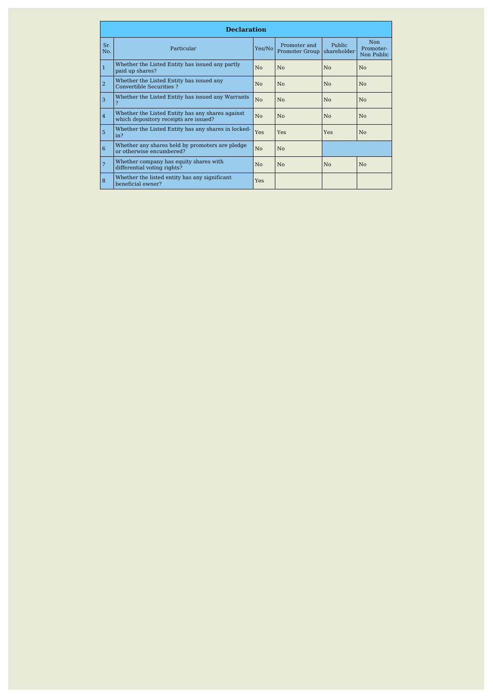|                | <b>Declaration</b>                                                                        |                |                                       |                       |                                       |
|----------------|-------------------------------------------------------------------------------------------|----------------|---------------------------------------|-----------------------|---------------------------------------|
| Sr.<br>No.     | Particular                                                                                | Yes/No         | Promoter and<br><b>Promoter Group</b> | Public<br>shareholder | <b>Non</b><br>Promoter-<br>Non Public |
| $\mathbf{1}$   | Whether the Listed Entity has issued any partly<br>paid up shares?                        | No             | No                                    | No                    | No                                    |
| $\overline{2}$ | Whether the Listed Entity has issued any<br>Convertible Securities ?                      | No             | Nο                                    | No                    | No                                    |
| 3              | Whether the Listed Entity has issued any Warrants                                         | N <sub>0</sub> | No                                    | No                    | No                                    |
| $\overline{4}$ | Whether the Listed Entity has any shares against<br>which depository receipts are issued? | No             | No                                    | No                    | No                                    |
| 5              | Whether the Listed Entity has any shares in locked-<br>in?                                | <b>Yes</b>     | Yes                                   | Yes                   | No                                    |
| 6              | Whether any shares held by promoters are pledge<br>or otherwise encumbered?               | N <sub>0</sub> | No                                    |                       |                                       |
| 7              | Whether company has equity shares with<br>differential voting rights?                     | N <sub>o</sub> | Nο                                    | No                    | No                                    |
| 8              | Whether the listed entity has any significant<br>beneficial owner?                        | <b>Yes</b>     |                                       |                       |                                       |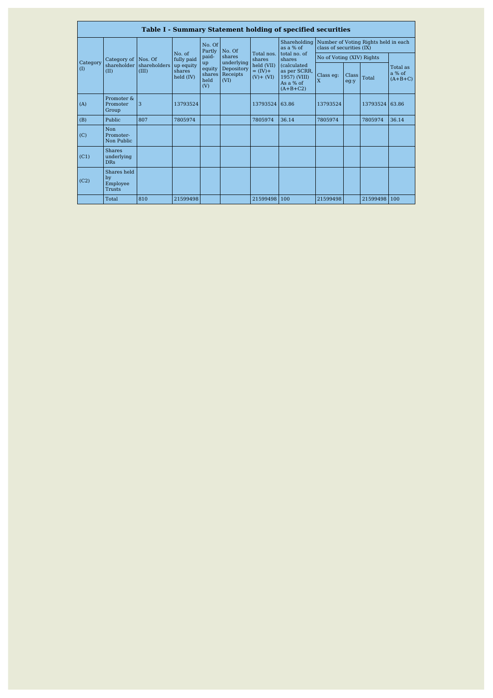|          |                                                |                       |                                           |                             |                                       |                                         | <b>Table I - Summary Statement holding of specified securities</b>             |                           |                      |                                      |                                   |
|----------|------------------------------------------------|-----------------------|-------------------------------------------|-----------------------------|---------------------------------------|-----------------------------------------|--------------------------------------------------------------------------------|---------------------------|----------------------|--------------------------------------|-----------------------------------|
|          |                                                |                       |                                           | No. Of<br>Partly            | No. Of                                |                                         | Shareholding<br>as a % of                                                      | class of securities (IX)  |                      | Number of Voting Rights held in each |                                   |
| Category | Category of                                    | Nos. Of               | No. of<br>fully paid                      | paid-                       | shares<br>underlying                  | Total nos.<br>shares                    | total no. of<br>shares                                                         | No of Voting (XIV) Rights |                      |                                      |                                   |
| (I)      | shareholder<br>(II)                            | shareholders<br>(III) | up equity<br>shares<br>$\text{held (IV)}$ | up<br>equity<br>held<br>(V) | Depository<br>shares Receipts<br>(VI) | held (VII)<br>$=$ (IV)+<br>$(V) + (VI)$ | <i>(calculated)</i><br>as per SCRR,<br>1957) (VIII)<br>As a % of<br>$(A+B+C2)$ | Class eg:<br>$\mathbf{x}$ | <b>Class</b><br>eg:y | Total                                | Total as<br>$a\%$ of<br>$(A+B+C)$ |
| (A)      | Promoter &<br>Promoter<br>Group                | 3                     | 13793524                                  |                             |                                       | 13793524                                | 63.86                                                                          | 13793524                  |                      | 13793524 63.86                       |                                   |
| (B)      | Public                                         | 807                   | 7805974                                   |                             |                                       | 7805974                                 | 36.14                                                                          | 7805974                   |                      | 7805974                              | 36.14                             |
| (C)      | <b>Non</b><br>Promoter-<br>Non Public          |                       |                                           |                             |                                       |                                         |                                                                                |                           |                      |                                      |                                   |
| (C1)     | <b>Shares</b><br>underlying<br><b>DRs</b>      |                       |                                           |                             |                                       |                                         |                                                                                |                           |                      |                                      |                                   |
| (C2)     | Shares held<br>by<br>Employee<br><b>Trusts</b> |                       |                                           |                             |                                       |                                         |                                                                                |                           |                      |                                      |                                   |
|          | Total                                          | 810                   | 21599498                                  |                             |                                       | 21599498                                | 100                                                                            | 21599498                  |                      | 21599498 100                         |                                   |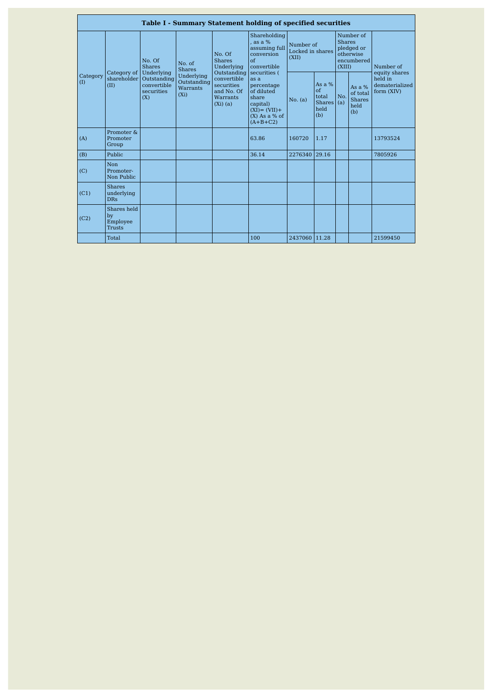|                 |                                           |                                                                                          |                                                                                              |                                                                                                                           | <b>Table I - Summary Statement holding of specified securities</b>                                                                                                                                                 |                                        |                                                                               |     |                                                      |                                         |
|-----------------|-------------------------------------------|------------------------------------------------------------------------------------------|----------------------------------------------------------------------------------------------|---------------------------------------------------------------------------------------------------------------------------|--------------------------------------------------------------------------------------------------------------------------------------------------------------------------------------------------------------------|----------------------------------------|-------------------------------------------------------------------------------|-----|------------------------------------------------------|-----------------------------------------|
| Category<br>(I) | Category of<br>shareholder<br>(II)        | No. Of<br><b>Shares</b><br>Underlying<br>Outstanding<br>convertible<br>securities<br>(X) | No. of<br><b>Shares</b><br>Underlying<br>Outstanding<br><b>Warrants</b><br>(X <sub>i</sub> ) | No. Of<br><b>Shares</b><br>Underlying<br>Outstanding<br>convertible<br>securities<br>and No. Of<br>Warrants<br>$(Xi)$ (a) | Shareholding<br>, as a %<br>assuming full<br>conversion<br>$\alpha$ f<br>convertible<br>securities (<br>as a<br>percentage<br>of diluted<br>share<br>capital)<br>$(XI) = (VII) +$<br>$(X)$ As a % of<br>$(A+B+C2)$ | Number of<br>Locked in shares<br>(XII) | Number of<br><b>Shares</b><br>pledged or<br>otherwise<br>encumbered<br>(XIII) |     | Number of<br>equity shares                           |                                         |
|                 |                                           |                                                                                          |                                                                                              |                                                                                                                           |                                                                                                                                                                                                                    | No. (a)                                | As a $%$<br>$\alpha$ f<br>total<br>Shares $(a)$<br>held<br>(b)                | No. | As a $%$<br>of total<br><b>Shares</b><br>held<br>(b) | held in<br>dematerialized<br>form (XIV) |
| (A)             | Promoter &<br>Promoter<br>Group           |                                                                                          |                                                                                              |                                                                                                                           | 63.86                                                                                                                                                                                                              | 160720                                 | 1.17                                                                          |     |                                                      | 13793524                                |
| (B)             | Public                                    |                                                                                          |                                                                                              |                                                                                                                           | 36.14                                                                                                                                                                                                              | 2276340                                | 29.16                                                                         |     |                                                      | 7805926                                 |
| (C)             | Non<br>Promoter-<br>Non Public            |                                                                                          |                                                                                              |                                                                                                                           |                                                                                                                                                                                                                    |                                        |                                                                               |     |                                                      |                                         |
| (C1)            | <b>Shares</b><br>underlying<br><b>DRs</b> |                                                                                          |                                                                                              |                                                                                                                           |                                                                                                                                                                                                                    |                                        |                                                                               |     |                                                      |                                         |
| (C2)            | Shares held<br>by<br>Employee<br>Trusts   |                                                                                          |                                                                                              |                                                                                                                           |                                                                                                                                                                                                                    |                                        |                                                                               |     |                                                      |                                         |
|                 | Total                                     |                                                                                          |                                                                                              |                                                                                                                           | 100                                                                                                                                                                                                                | 2437060 11.28                          |                                                                               |     |                                                      | 21599450                                |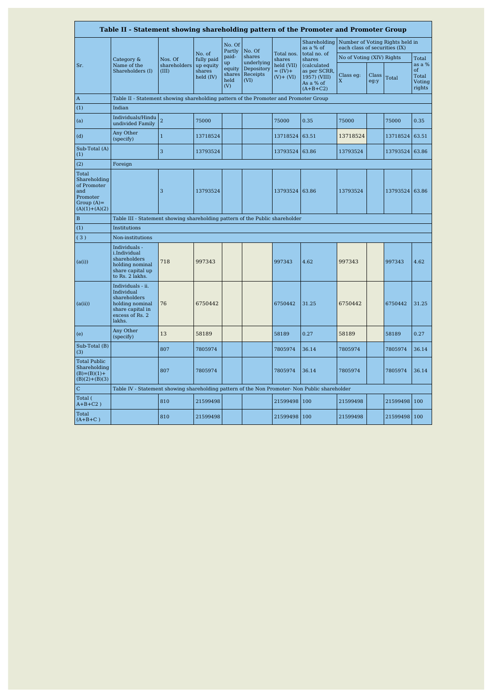| Table II - Statement showing shareholding pattern of the Promoter and Promoter Group        |                                                                                                                     |                                  |                                                          |                                                |                                                        |                                                                   |                                                                                                  |                                                                  |               |          |                                                    |  |
|---------------------------------------------------------------------------------------------|---------------------------------------------------------------------------------------------------------------------|----------------------------------|----------------------------------------------------------|------------------------------------------------|--------------------------------------------------------|-------------------------------------------------------------------|--------------------------------------------------------------------------------------------------|------------------------------------------------------------------|---------------|----------|----------------------------------------------------|--|
|                                                                                             |                                                                                                                     |                                  |                                                          | No. Of<br>Partly                               | No. Of                                                 |                                                                   | Shareholding<br>as a % of                                                                        | Number of Voting Rights held in<br>each class of securities (IX) |               |          |                                                    |  |
| Sr.                                                                                         | Category &<br>Name of the<br>Shareholders (I)                                                                       | Nos. Of<br>shareholders<br>(III) | No. of<br>fully paid<br>up equity<br>shares<br>held (IV) | paid-<br>up<br>equity<br>shares<br>held<br>(V) | shares<br>underlying<br>Depository<br>Receipts<br>(VI) | Total nos.<br>shares<br>held (VII)<br>$=$ (IV)+<br>$(V)$ + $(VI)$ | total no. of<br>shares<br>(calculated<br>as per SCRR,<br>1957) (VIII)<br>As a % of<br>$(A+B+C2)$ | No of Voting (XIV) Rights<br>Class eg:<br>X                      | Class<br>eg:y | Total    | Total<br>as a %<br>of<br>Total<br>Voting<br>rights |  |
| $\boldsymbol{\mathsf{A}}$                                                                   | Table II - Statement showing shareholding pattern of the Promoter and Promoter Group                                |                                  |                                                          |                                                |                                                        |                                                                   |                                                                                                  |                                                                  |               |          |                                                    |  |
| (1)                                                                                         | Indian                                                                                                              |                                  |                                                          |                                                |                                                        |                                                                   |                                                                                                  |                                                                  |               |          |                                                    |  |
| (a)                                                                                         | Individuals/Hindu<br>undivided Family                                                                               | $\overline{a}$                   | 75000                                                    |                                                |                                                        | 75000                                                             | 0.35                                                                                             | 75000                                                            |               | 75000    | 0.35                                               |  |
| (d)                                                                                         | Any Other<br>(specify)                                                                                              | $\mathbf{1}$                     | 13718524                                                 |                                                |                                                        | 13718524                                                          | 63.51                                                                                            | 13718524                                                         |               | 13718524 | 63.51                                              |  |
| Sub-Total (A)<br>(1)                                                                        |                                                                                                                     | 3                                | 13793524                                                 |                                                |                                                        | 13793524                                                          | 63.86                                                                                            | 13793524                                                         |               | 13793524 | 63.86                                              |  |
| (2)                                                                                         | Foreign                                                                                                             |                                  |                                                          |                                                |                                                        |                                                                   |                                                                                                  |                                                                  |               |          |                                                    |  |
| Total<br>Shareholding<br>of Promoter<br>and<br>Promoter<br>Group $(A)$ =<br>$(A)(1)+(A)(2)$ |                                                                                                                     | 3                                | 13793524                                                 |                                                |                                                        | 13793524                                                          | 63.86                                                                                            | 13793524                                                         |               | 13793524 | 63.86                                              |  |
| B                                                                                           | Table III - Statement showing shareholding pattern of the Public shareholder                                        |                                  |                                                          |                                                |                                                        |                                                                   |                                                                                                  |                                                                  |               |          |                                                    |  |
| (1)                                                                                         | Institutions                                                                                                        |                                  |                                                          |                                                |                                                        |                                                                   |                                                                                                  |                                                                  |               |          |                                                    |  |
| (3)                                                                                         | Non-institutions                                                                                                    |                                  |                                                          |                                                |                                                        |                                                                   |                                                                                                  |                                                                  |               |          |                                                    |  |
| (a(i))                                                                                      | Individuals -<br>i.Individual<br>shareholders<br>holding nominal<br>share capital up<br>to Rs. 2 lakhs.             | 718                              | 997343                                                   |                                                |                                                        | 997343                                                            | 4.62                                                                                             | 997343                                                           |               | 997343   | 4.62                                               |  |
| (a(ii))                                                                                     | Individuals - ii.<br>Individual<br>shareholders<br>holding nominal<br>share capital in<br>excess of Rs. 2<br>lakhs. | 76                               | 6750442                                                  |                                                |                                                        | 6750442                                                           | 31.25                                                                                            | 6750442                                                          |               | 6750442  | 31.25                                              |  |
| (e)                                                                                         | Any Other<br>(specify)                                                                                              | 13                               | 58189                                                    |                                                |                                                        | 58189                                                             | 0.27                                                                                             | 58189                                                            |               | 58189    | 0.27                                               |  |
| Sub-Total (B)<br>(3)                                                                        |                                                                                                                     | 807                              | 7805974                                                  |                                                |                                                        | 7805974                                                           | 36.14                                                                                            | 7805974                                                          |               | 7805974  | 36.14                                              |  |
| <b>Total Public</b><br>Shareholding<br>$(B)=(B)(1)+$<br>$(B)(2)+(B)(3)$                     |                                                                                                                     | 807                              | 7805974                                                  |                                                |                                                        | 7805974                                                           | 36.14                                                                                            | 7805974                                                          |               | 7805974  | 36.14                                              |  |
| $\mathbf C$                                                                                 | Table IV - Statement showing shareholding pattern of the Non Promoter- Non Public shareholder                       |                                  |                                                          |                                                |                                                        |                                                                   |                                                                                                  |                                                                  |               |          |                                                    |  |
| Total (<br>$A+B+C2$ )                                                                       |                                                                                                                     | 810                              | 21599498                                                 |                                                |                                                        | 21599498                                                          | 100                                                                                              | 21599498                                                         |               | 21599498 | 100                                                |  |
| Total<br>$(A+B+C)$                                                                          |                                                                                                                     | 810                              | 21599498                                                 |                                                |                                                        | 21599498                                                          | 100                                                                                              | 21599498                                                         |               | 21599498 | 100                                                |  |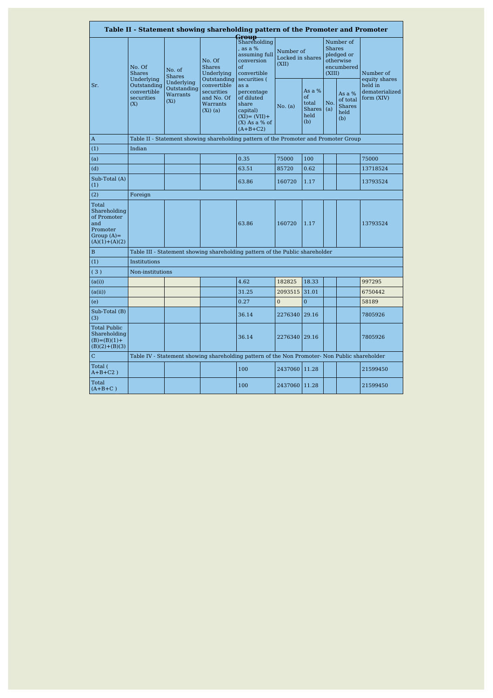|                                                                                             |                                                               |                                                            |                                                                                  | Table II - Statement showing shareholding pattern of the Promoter and Promoter                                             |                                        |                                                        |                                                                               |                                                      |                                                          |  |
|---------------------------------------------------------------------------------------------|---------------------------------------------------------------|------------------------------------------------------------|----------------------------------------------------------------------------------|----------------------------------------------------------------------------------------------------------------------------|----------------------------------------|--------------------------------------------------------|-------------------------------------------------------------------------------|------------------------------------------------------|----------------------------------------------------------|--|
|                                                                                             | No. Of<br><b>Shares</b>                                       | No. of<br><b>Shares</b>                                    | No. Of<br><b>Shares</b><br>Underlying                                            | <b>Group</b><br>Shareholding<br>, as a %<br>assuming full<br>conversion<br>of<br>convertible                               | Number of<br>Locked in shares<br>(XII) |                                                        | Number of<br><b>Shares</b><br>pledged or<br>otherwise<br>encumbered<br>(XIII) |                                                      | Number of                                                |  |
| Sr.                                                                                         | Underlying<br>Outstanding<br>convertible<br>securities<br>(X) | Underlying<br>Outstanding<br>Warrants<br>(X <sub>i</sub> ) | Outstanding<br>convertible<br>securities<br>and No. Of<br>Warrants<br>$(Xi)$ (a) | securities (<br>as a<br>percentage<br>of diluted<br>share<br>capital)<br>$(XI) = (VII) +$<br>$(X)$ As a % of<br>$(A+B+C2)$ | No. (a)                                | As a $%$<br>of<br>total<br>Shares $(a)$<br>held<br>(b) | No.                                                                           | As $a\%$<br>of total<br><b>Shares</b><br>held<br>(b) | equity shares<br>held in<br>dematerialized<br>form (XIV) |  |
| A                                                                                           |                                                               |                                                            |                                                                                  | Table II - Statement showing shareholding pattern of the Promoter and Promoter Group                                       |                                        |                                                        |                                                                               |                                                      |                                                          |  |
| (1)                                                                                         | Indian                                                        |                                                            |                                                                                  |                                                                                                                            |                                        |                                                        |                                                                               |                                                      |                                                          |  |
| (a)                                                                                         |                                                               |                                                            |                                                                                  | 0.35                                                                                                                       | 75000                                  | 100                                                    |                                                                               |                                                      | 75000                                                    |  |
| (d)                                                                                         |                                                               |                                                            |                                                                                  | 63.51                                                                                                                      | 85720                                  | 0.62                                                   |                                                                               |                                                      | 13718524                                                 |  |
| Sub-Total (A)<br>(1)                                                                        |                                                               |                                                            |                                                                                  | 63.86                                                                                                                      | 160720                                 | 1.17                                                   |                                                                               |                                                      | 13793524                                                 |  |
| (2)                                                                                         | Foreign                                                       |                                                            |                                                                                  |                                                                                                                            |                                        |                                                        |                                                                               |                                                      |                                                          |  |
| Total<br>Shareholding<br>of Promoter<br>and<br>Promoter<br>Group $(A)$ =<br>$(A)(1)+(A)(2)$ |                                                               |                                                            |                                                                                  | 63.86                                                                                                                      | 160720                                 | 1.17                                                   |                                                                               |                                                      | 13793524                                                 |  |
| B                                                                                           |                                                               |                                                            |                                                                                  | Table III - Statement showing shareholding pattern of the Public shareholder                                               |                                        |                                                        |                                                                               |                                                      |                                                          |  |
| (1)                                                                                         | Institutions                                                  |                                                            |                                                                                  |                                                                                                                            |                                        |                                                        |                                                                               |                                                      |                                                          |  |
| (3)                                                                                         | Non-institutions                                              |                                                            |                                                                                  |                                                                                                                            |                                        |                                                        |                                                                               |                                                      |                                                          |  |
| (a(i))                                                                                      |                                                               |                                                            |                                                                                  | 4.62                                                                                                                       | 182825                                 | 18.33                                                  |                                                                               |                                                      | 997295                                                   |  |
| (a(ii))                                                                                     |                                                               |                                                            |                                                                                  | 31.25                                                                                                                      | 2093515                                | 31.01                                                  |                                                                               |                                                      | 6750442                                                  |  |
| (e)                                                                                         |                                                               |                                                            |                                                                                  | 0.27                                                                                                                       | $\Omega$                               | $\overline{0}$                                         |                                                                               |                                                      | 58189                                                    |  |
| Sub-Total (B)<br>(3)                                                                        |                                                               |                                                            |                                                                                  | 36.14                                                                                                                      | 2276340 29.16                          |                                                        |                                                                               |                                                      | 7805926                                                  |  |
| Total Public<br>Shareholding<br>$(B)=(B)(1)+$<br>$(B)(2)+(B)(3)$                            |                                                               |                                                            |                                                                                  | 36.14                                                                                                                      | 2276340 29.16                          |                                                        |                                                                               |                                                      | 7805926                                                  |  |
| $\mathbf C$                                                                                 |                                                               |                                                            |                                                                                  | Table IV - Statement showing shareholding pattern of the Non Promoter- Non Public shareholder                              |                                        |                                                        |                                                                               |                                                      |                                                          |  |
| Total (<br>$A+B+C2$ )                                                                       |                                                               |                                                            |                                                                                  | 100                                                                                                                        | 2437060 11.28                          |                                                        |                                                                               |                                                      | 21599450                                                 |  |
| Total<br>$(A+B+C)$                                                                          |                                                               |                                                            |                                                                                  | 100                                                                                                                        | 2437060 11.28                          |                                                        |                                                                               |                                                      | 21599450                                                 |  |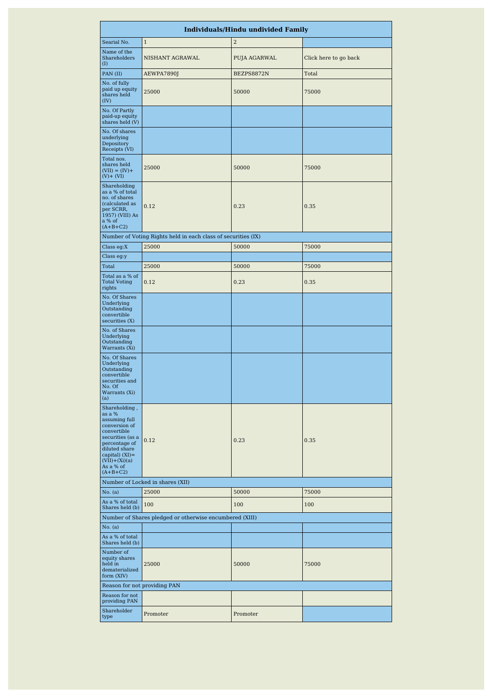|                                                                                                                                                                                                   |                                                                | <b>Individuals/Hindu undivided Family</b> |                       |
|---------------------------------------------------------------------------------------------------------------------------------------------------------------------------------------------------|----------------------------------------------------------------|-------------------------------------------|-----------------------|
| Searial No.                                                                                                                                                                                       | $\mathbf{1}$                                                   | $\overline{2}$                            |                       |
| Name of the<br>Shareholders<br>(I)                                                                                                                                                                | NISHANT AGRAWAL                                                | PUJA AGARWAL                              | Click here to go back |
| PAN (II)                                                                                                                                                                                          | AEWPA7890J                                                     | BEZPS8872N                                | Total                 |
| No. of fully<br>paid up equity<br>shares held<br>(IV)                                                                                                                                             | 25000                                                          | 50000                                     | 75000                 |
| No. Of Partly<br>paid-up equity<br>shares held (V)                                                                                                                                                |                                                                |                                           |                       |
| No. Of shares<br>underlying<br>Depository<br>Receipts (VI)                                                                                                                                        |                                                                |                                           |                       |
| Total nos.<br>shares held<br>$(VII) = (IV) +$<br>$(V) + (VI)$                                                                                                                                     | 25000                                                          | 50000                                     | 75000                 |
| Shareholding<br>as a % of total<br>no. of shares<br>(calculated as<br>per SCRR,<br>1957) (VIII) As<br>a % of<br>$(A+B+C2)$                                                                        | 0.12                                                           | 0.23                                      | 0.35                  |
|                                                                                                                                                                                                   | Number of Voting Rights held in each class of securities (IX)  |                                           |                       |
| Class $eg:X$                                                                                                                                                                                      | 25000                                                          | 50000                                     | 75000                 |
| Class eg:y                                                                                                                                                                                        |                                                                |                                           |                       |
| Total                                                                                                                                                                                             | 25000                                                          | 50000                                     | 75000                 |
| Total as a % of<br><b>Total Voting</b><br>rights                                                                                                                                                  | 0.12                                                           | 0.23                                      | 0.35                  |
| No. Of Shares<br>Underlying<br>Outstanding<br>convertible<br>securities(X)                                                                                                                        |                                                                |                                           |                       |
| No. of Shares<br>Underlying<br>Outstanding<br>Warrants (Xi)                                                                                                                                       |                                                                |                                           |                       |
| No. Of Shares<br>Underlying<br>Outstanding<br>convertible<br>securities and<br>No. Of<br>Warrants (Xi)<br>(a)                                                                                     |                                                                |                                           |                       |
| Shareholding,<br>as a %<br>assuming full<br>conversion of<br>convertible<br>securities (as a<br>percentage of<br>diluted share<br>capital) $(XI) =$<br>$(VII)+(Xi)(a)$<br>As a % of<br>$(A+B+C2)$ | 0.12                                                           | 0.23                                      | 0.35                  |
|                                                                                                                                                                                                   | Number of Locked in shares (XII)                               |                                           |                       |
| No. (a)<br>As a % of total                                                                                                                                                                        | 25000                                                          | 50000                                     | 75000                 |
| Shares held (b)                                                                                                                                                                                   | 100<br>Number of Shares pledged or otherwise encumbered (XIII) | 100                                       | 100                   |
| No. (a)                                                                                                                                                                                           |                                                                |                                           |                       |
| As a % of total<br>Shares held (b)                                                                                                                                                                |                                                                |                                           |                       |
| Number of<br>equity shares<br>held in<br>dematerialized<br>form (XIV)                                                                                                                             | 25000                                                          | 50000                                     | 75000                 |
| Reason for not providing PAN                                                                                                                                                                      |                                                                |                                           |                       |
| Reason for not<br>providing PAN                                                                                                                                                                   |                                                                |                                           |                       |
| Shareholder<br>type                                                                                                                                                                               | Promoter                                                       | Promoter                                  |                       |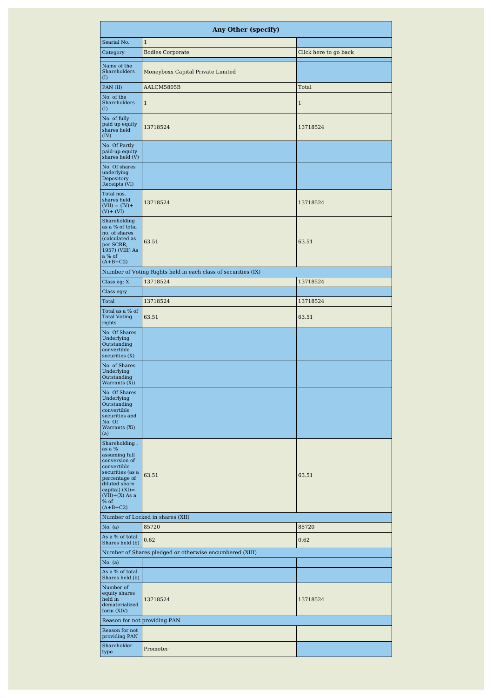|                                                                                                                                                                                               | <b>Any Other (specify)</b>                                    |                       |
|-----------------------------------------------------------------------------------------------------------------------------------------------------------------------------------------------|---------------------------------------------------------------|-----------------------|
| Searial No.                                                                                                                                                                                   | $\mathbf{1}$                                                  |                       |
| Category                                                                                                                                                                                      | <b>Bodies Corporate</b>                                       | Click here to go back |
| Name of the<br>Shareholders<br>(I)                                                                                                                                                            | Moneyboxx Capital Private Limited                             |                       |
| PAN (II)                                                                                                                                                                                      | AALCM5805B                                                    | Total                 |
| No. of the<br><b>Shareholders</b><br>(I)                                                                                                                                                      | $\mathbf{1}$                                                  | $\,1\,$               |
| No. of fully<br>paid up equity<br>shares held<br>(IV)                                                                                                                                         | 13718524                                                      | 13718524              |
| No. Of Partly<br>paid-up equity<br>shares held (V)                                                                                                                                            |                                                               |                       |
| No. Of shares<br>underlying<br>Depository<br>Receipts (VI)                                                                                                                                    |                                                               |                       |
| Total nos.<br>shares held<br>$(VII) = (IV) +$<br>$(V)$ + $(VI)$                                                                                                                               | 13718524                                                      | 13718524              |
| Shareholding<br>as a % of total<br>no. of shares<br>(calculated as<br>per SCRR,<br>1957) (VIII) As<br>a % of<br>$(A+B+C2)$                                                                    | 63.51                                                         | 63.51                 |
|                                                                                                                                                                                               | Number of Voting Rights held in each class of securities (IX) |                       |
| Class eg: X                                                                                                                                                                                   | 13718524                                                      | 13718524              |
| Class eg:y                                                                                                                                                                                    |                                                               |                       |
| Total<br>Total as a % of                                                                                                                                                                      | 13718524                                                      | 13718524              |
| <b>Total Voting</b><br>rights                                                                                                                                                                 | 63.51                                                         | 63.51                 |
| No. Of Shares<br>Underlying<br>Outstanding<br>convertible<br>securities (X)                                                                                                                   |                                                               |                       |
| No. of Shares<br>Underlying<br>Outstanding<br>Warrants (Xi)                                                                                                                                   |                                                               |                       |
| No. Of Shares<br>Underlying<br>Outstanding<br>convertible<br>securities and<br>No. Of<br>Warrants (Xi)<br>(a)                                                                                 |                                                               |                       |
| Shareholding,<br>as a %<br>assuming full<br>conversion of<br>convertible<br>securities (as a<br>percentage of<br>diluted share<br>capital) $(XI) =$<br>$(VII)+(X)$ As a<br>% of<br>$(A+B+C2)$ | 63.51                                                         | 63.51                 |
|                                                                                                                                                                                               | Number of Locked in shares (XII)                              |                       |
| No. (a)<br>As a % of total                                                                                                                                                                    | 85720                                                         | 85720                 |
| Shares held (b)                                                                                                                                                                               | 0.62                                                          | 0.62                  |
|                                                                                                                                                                                               | Number of Shares pledged or otherwise encumbered (XIII)       |                       |
| No. (a)                                                                                                                                                                                       |                                                               |                       |
| As a % of total<br>Shares held (b)                                                                                                                                                            |                                                               |                       |
| Number of<br>equity shares<br>held in<br>dematerialized<br>form (XIV)                                                                                                                         | 13718524                                                      | 13718524              |
| Reason for not providing PAN                                                                                                                                                                  |                                                               |                       |
| Reason for not<br>providing PAN                                                                                                                                                               |                                                               |                       |
| Shareholder<br>type                                                                                                                                                                           | Promoter                                                      |                       |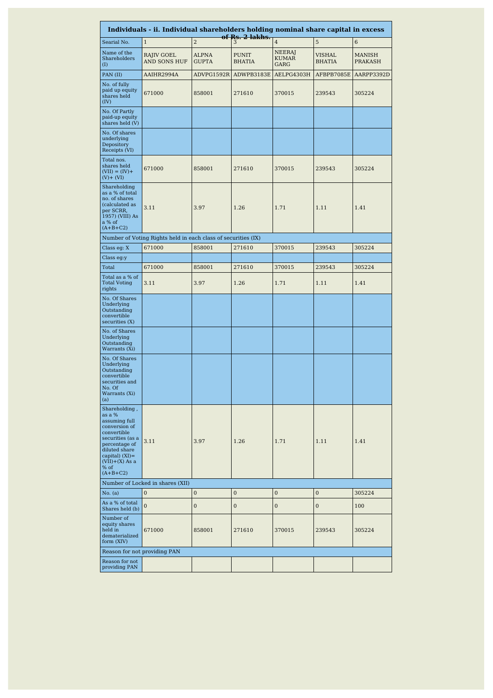|                                                                                                                                                                                               | Individuals - ii. Individual shareholders holding nominal share capital in excess |                              |                               |                                       |                  |                   |
|-----------------------------------------------------------------------------------------------------------------------------------------------------------------------------------------------|-----------------------------------------------------------------------------------|------------------------------|-------------------------------|---------------------------------------|------------------|-------------------|
| Searial No.                                                                                                                                                                                   | $\mathbf{1}$                                                                      | $\overline{2}$               | of Rs. 2 lakhs.<br>3          | $\overline{4}$                        | 5                | 6                 |
| Name of the<br>Shareholders<br>$\rm _{(I)}$                                                                                                                                                   | RAJIV GOEL<br>AND SONS HUF                                                        | <b>ALPNA</b><br><b>GUPTA</b> | <b>PUNIT</b><br><b>BHATIA</b> | NEERAJ<br><b>KUMAR</b><br><b>GARG</b> | VISHAL<br>BHATIA | MANISH<br>PRAKASH |
| PAN (II)                                                                                                                                                                                      | AAIHR2994A                                                                        | ADVPG1592R                   | ADWPB3183E                    | AELPG4303H                            | AFBPB7085E       | AARPP3392D        |
| No. of fully<br>paid up equity<br>shares held<br>(IV)                                                                                                                                         | 671000                                                                            | 858001                       | 271610                        | 370015                                | 239543           | 305224            |
| No. Of Partly<br>paid-up equity<br>shares held (V)                                                                                                                                            |                                                                                   |                              |                               |                                       |                  |                   |
| No. Of shares<br>underlying<br>Depository<br>Receipts (VI)                                                                                                                                    |                                                                                   |                              |                               |                                       |                  |                   |
| Total nos.<br>shares held<br>$(VII) = (IV) +$<br>$(V) + (VI)$                                                                                                                                 | 671000                                                                            | 858001                       | 271610                        | 370015                                | 239543           | 305224            |
| Shareholding<br>as a % of total<br>no. of shares<br>(calculated as<br>per SCRR,<br>1957) (VIII) As<br>a % of<br>$(A+B+C2)$                                                                    | 3.11                                                                              | 3.97                         | 1.26                          | 1.71                                  | 1.11             | 1.41              |
|                                                                                                                                                                                               | Number of Voting Rights held in each class of securities (IX)                     |                              |                               |                                       |                  |                   |
| Class eg: X                                                                                                                                                                                   | 671000                                                                            | 858001                       | 271610                        | 370015                                | 239543           | 305224            |
| Class eg:y                                                                                                                                                                                    |                                                                                   |                              |                               |                                       |                  |                   |
| Total                                                                                                                                                                                         | 671000                                                                            | 858001                       | 271610                        | 370015                                | 239543           | 305224            |
| Total as a % of<br><b>Total Voting</b><br>rights                                                                                                                                              | 3.11                                                                              | 3.97                         | 1.26                          | 1.71                                  | 1.11             | 1.41              |
| No. Of Shares<br>Underlying<br>Outstanding<br>convertible<br>securities(X)                                                                                                                    |                                                                                   |                              |                               |                                       |                  |                   |
| No. of Shares<br>Underlying<br>Outstanding<br>Warrants (Xi)                                                                                                                                   |                                                                                   |                              |                               |                                       |                  |                   |
| No. Of Shares<br>Underlying<br>Outstanding<br>convertible<br>securities and<br>No. Of<br>Warrants (Xi)<br>(a)                                                                                 |                                                                                   |                              |                               |                                       |                  |                   |
| Shareholding,<br>as a %<br>assuming full<br>conversion of<br>convertible<br>securities (as a<br>percentage of<br>diluted share<br>capital) $(XI) =$<br>$(VII)+(X)$ As a<br>% of<br>$(A+B+C2)$ | 3.11                                                                              | 3.97                         | 1.26                          | 1.71                                  | 1.11             | 1.41              |
|                                                                                                                                                                                               | Number of Locked in shares (XII)                                                  |                              |                               |                                       |                  |                   |
| No. (a)                                                                                                                                                                                       | $\mathbf{0}$                                                                      | $\mathbf{0}$                 | $\mathbf{0}$                  | $\mathbf{0}$                          | $\mathbf{0}$     | 305224            |
| As a % of total<br>Shares held (b)                                                                                                                                                            | $\Omega$                                                                          | $\overline{0}$               | $\mathbf{0}$                  | $\overline{0}$                        | $\overline{0}$   | 100               |
| Number of<br>equity shares<br>held in<br>dematerialized<br>form (XIV)                                                                                                                         | 671000                                                                            | 858001                       | 271610                        | 370015                                | 239543           | 305224            |
|                                                                                                                                                                                               | Reason for not providing PAN                                                      |                              |                               |                                       |                  |                   |
| Reason for not<br>providing PAN                                                                                                                                                               |                                                                                   |                              |                               |                                       |                  |                   |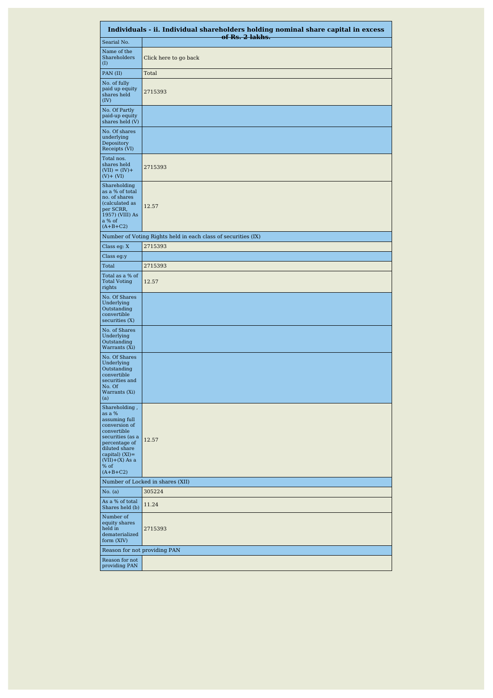|                                                                                                                                                                                               | Individuals - ii. Individual shareholders holding nominal share capital in excess<br>of Rs. 2 lakhs. |
|-----------------------------------------------------------------------------------------------------------------------------------------------------------------------------------------------|------------------------------------------------------------------------------------------------------|
| Searial No.                                                                                                                                                                                   |                                                                                                      |
| Name of the<br>Shareholders<br>(I)                                                                                                                                                            | Click here to go back                                                                                |
| PAN (II)                                                                                                                                                                                      | Total                                                                                                |
| No. of fully<br>paid up equity<br>shares held<br>(IV)                                                                                                                                         | 2715393                                                                                              |
| No. Of Partly<br>paid-up equity<br>shares held (V)                                                                                                                                            |                                                                                                      |
| No. Of shares<br>underlying<br>Depository<br>Receipts (VI)                                                                                                                                    |                                                                                                      |
| Total nos.<br>shares held<br>$(VII) = (IV) +$<br>$(V) + (VI)$                                                                                                                                 | 2715393                                                                                              |
| Shareholding<br>as a % of total<br>no. of shares<br>(calculated as<br>per SCRR,<br>1957) (VIII) As<br>a % of<br>$(A+B+C2)$                                                                    | 12.57                                                                                                |
|                                                                                                                                                                                               | Number of Voting Rights held in each class of securities (IX)                                        |
| Class eg: X                                                                                                                                                                                   | 2715393                                                                                              |
| Class eg:y                                                                                                                                                                                    |                                                                                                      |
| Total                                                                                                                                                                                         | 2715393                                                                                              |
| Total as a % of<br><b>Total Voting</b><br>rights                                                                                                                                              | 12.57                                                                                                |
| No. Of Shares<br>Underlying<br>Outstanding<br>convertible<br>securities(X)                                                                                                                    |                                                                                                      |
| No. of Shares<br>Underlying<br>Outstanding<br>Warrants (Xi)                                                                                                                                   |                                                                                                      |
| No. Of Shares<br>Underlying<br>Outstanding<br>convertible<br>securities and<br>No. Of<br>Warrants (Xi)<br>(a)                                                                                 |                                                                                                      |
| Shareholding,<br>as a %<br>assuming full<br>conversion of<br>convertible<br>securities (as a<br>percentage of<br>diluted share<br>capital) $(XI) =$<br>$(VII)+(X)$ As a<br>% of<br>$(A+B+C2)$ | 12.57                                                                                                |
|                                                                                                                                                                                               | Number of Locked in shares (XII)                                                                     |
| No. (a)                                                                                                                                                                                       | 305224                                                                                               |
| As a % of total<br>Shares held (b)                                                                                                                                                            | 11.24                                                                                                |
| Number of<br>equity shares<br>held in<br>dematerialized<br>form (XIV)                                                                                                                         | 2715393                                                                                              |
| Reason for not providing PAN                                                                                                                                                                  |                                                                                                      |
| Reason for not<br>providing PAN                                                                                                                                                               |                                                                                                      |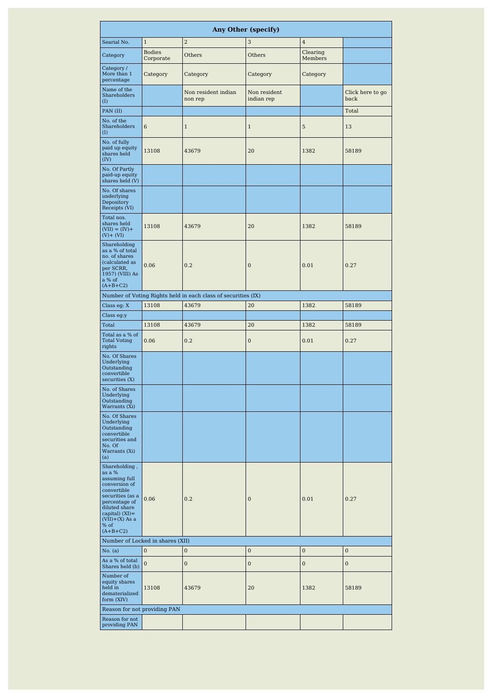|                                                                                                                                                                                               |                                  |                                                               | <b>Any Other (specify)</b> |                     |                          |
|-----------------------------------------------------------------------------------------------------------------------------------------------------------------------------------------------|----------------------------------|---------------------------------------------------------------|----------------------------|---------------------|--------------------------|
| Searial No.                                                                                                                                                                                   | $\mathbf{1}$                     | $\overline{2}$                                                | 3                          | $\overline{4}$      |                          |
| Category                                                                                                                                                                                      | <b>Bodies</b><br>Corporate       | Others                                                        | Others                     | Clearing<br>Members |                          |
| Category/<br>More than 1<br>percentage                                                                                                                                                        | Category                         | Category                                                      | Category                   | Category            |                          |
| Name of the<br>Shareholders<br>(I)                                                                                                                                                            |                                  | Non resident indian<br>non rep                                | Non resident<br>indian rep |                     | Click here to go<br>back |
| PAN (II)                                                                                                                                                                                      |                                  |                                                               |                            |                     | Total                    |
| No. of the<br>Shareholders<br>(I)                                                                                                                                                             | 6                                | $\mathbf{1}$                                                  | $\mathbf{1}$               | 5                   | 13                       |
| No. of fully<br>paid up equity<br>shares held<br>(IV)                                                                                                                                         | 13108                            | 43679                                                         | 20                         | 1382                | 58189                    |
| No. Of Partly<br>paid-up equity<br>shares held (V)                                                                                                                                            |                                  |                                                               |                            |                     |                          |
| No. Of shares<br>underlying<br>Depository<br>Receipts (VI)                                                                                                                                    |                                  |                                                               |                            |                     |                          |
| Total nos.<br>shares held<br>$(VII) = (IV) +$<br>$(V)$ + $(VI)$                                                                                                                               | 13108                            | 43679                                                         | 20                         | 1382                | 58189                    |
| Shareholding<br>as a % of total<br>no. of shares<br>(calculated as<br>per SCRR,<br>1957) (VIII) As<br>a % of<br>$(A+B+C2)$                                                                    | 0.06                             | 0.2                                                           | $\bf{0}$                   | 0.01                | 0.27                     |
|                                                                                                                                                                                               |                                  | Number of Voting Rights held in each class of securities (IX) |                            |                     |                          |
| Class eg: X                                                                                                                                                                                   | 13108                            | 43679                                                         | 20                         | 1382                | 58189                    |
| Class eg:y                                                                                                                                                                                    |                                  |                                                               |                            |                     |                          |
| Total                                                                                                                                                                                         | 13108                            | 43679                                                         | 20                         | 1382                | 58189                    |
| Total as a % of<br><b>Total Voting</b><br>rights                                                                                                                                              | 0.06                             | 0.2                                                           | 0                          | 0.01                | 0.27                     |
| No. Of Shares<br>Underlying<br>Outstanding<br>convertible<br>securities (X)                                                                                                                   |                                  |                                                               |                            |                     |                          |
| No. of Shares<br>Underlying<br>Outstanding<br>Warrants (Xi)                                                                                                                                   |                                  |                                                               |                            |                     |                          |
| No. Of Shares<br>Underlying<br>Outstanding<br>convertible<br>securities and<br>No. Of<br>Warrants (Xi)<br>(a)                                                                                 |                                  |                                                               |                            |                     |                          |
| Shareholding,<br>as a %<br>assuming full<br>conversion of<br>convertible<br>securities (as a<br>percentage of<br>diluted share<br>capital) $(XI) =$<br>$(VII)+(X)$ As a<br>% of<br>$(A+B+C2)$ | 0.06                             | 0.2                                                           | $\bf{0}$                   | 0.01                | 0.27                     |
|                                                                                                                                                                                               | Number of Locked in shares (XII) |                                                               |                            |                     |                          |
| No. (a)                                                                                                                                                                                       | $\overline{0}$                   | $\mathbf{0}$                                                  | $\mathbf 0$                | $\bf{0}$            | $\bf{0}$                 |
| As a % of total<br>Shares held (b)                                                                                                                                                            | $\mathbf{0}$                     | $\bf{0}$                                                      | $\mathbf 0$                | $\bf{0}$            | $\bf{0}$                 |
| Number of<br>equity shares<br>held in<br>dematerialized<br>form (XIV)                                                                                                                         | 13108                            | 43679                                                         | 20                         | 1382                | 58189                    |
| Reason for not providing PAN                                                                                                                                                                  |                                  |                                                               |                            |                     |                          |
| Reason for not<br>providing PAN                                                                                                                                                               |                                  |                                                               |                            |                     |                          |